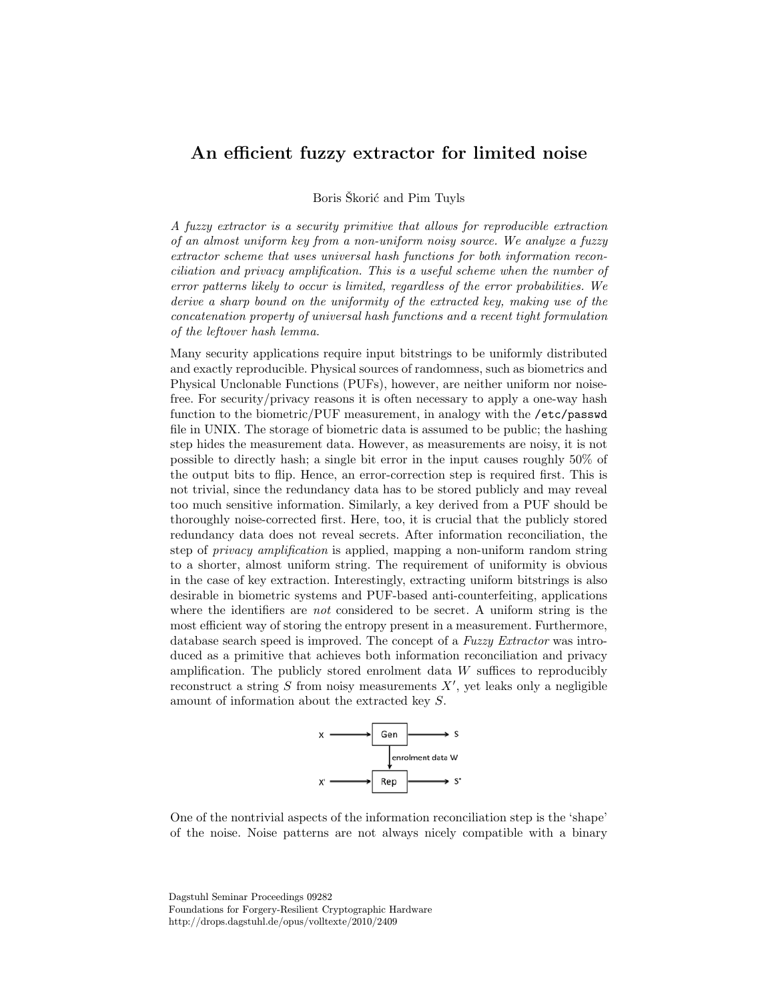## An efficient fuzzy extractor for limited noise

Boris Skorić and Pim Tuyls

A fuzzy extractor is a security primitive that allows for reproducible extraction of an almost uniform key from a non-uniform noisy source. We analyze a fuzzy extractor scheme that uses universal hash functions for both information reconciliation and privacy amplification. This is a useful scheme when the number of error patterns likely to occur is limited, regardless of the error probabilities. We derive a sharp bound on the uniformity of the extracted key, making use of the concatenation property of universal hash functions and a recent tight formulation of the leftover hash lemma.

Many security applications require input bitstrings to be uniformly distributed and exactly reproducible. Physical sources of randomness, such as biometrics and Physical Unclonable Functions (PUFs), however, are neither uniform nor noisefree. For security/privacy reasons it is often necessary to apply a one-way hash function to the biometric/PUF measurement, in analogy with the /etc/passwd file in UNIX. The storage of biometric data is assumed to be public; the hashing step hides the measurement data. However, as measurements are noisy, it is not possible to directly hash; a single bit error in the input causes roughly 50% of the output bits to flip. Hence, an error-correction step is required first. This is not trivial, since the redundancy data has to be stored publicly and may reveal too much sensitive information. Similarly, a key derived from a PUF should be thoroughly noise-corrected first. Here, too, it is crucial that the publicly stored redundancy data does not reveal secrets. After information reconciliation, the step of *privacy amplification* is applied, mapping a non-uniform random string to a shorter, almost uniform string. The requirement of uniformity is obvious in the case of key extraction. Interestingly, extracting uniform bitstrings is also desirable in biometric systems and PUF-based anti-counterfeiting, applications where the identifiers are *not* considered to be secret. A uniform string is the most efficient way of storing the entropy present in a measurement. Furthermore, database search speed is improved. The concept of a Fuzzy Extractor was introduced as a primitive that achieves both information reconciliation and privacy amplification. The publicly stored enrolment data  $W$  suffices to reproducibly reconstruct a string  $S$  from noisy measurements  $X'$ , yet leaks only a negligible amount of information about the extracted key S.



One of the nontrivial aspects of the information reconciliation step is the 'shape' of the noise. Noise patterns are not always nicely compatible with a binary

Dagstuhl Seminar Proceedings 09282 Foundations for Forgery-Resilient Cryptographic Hardware http://drops.dagstuhl.de/opus/volltexte/2010/2409